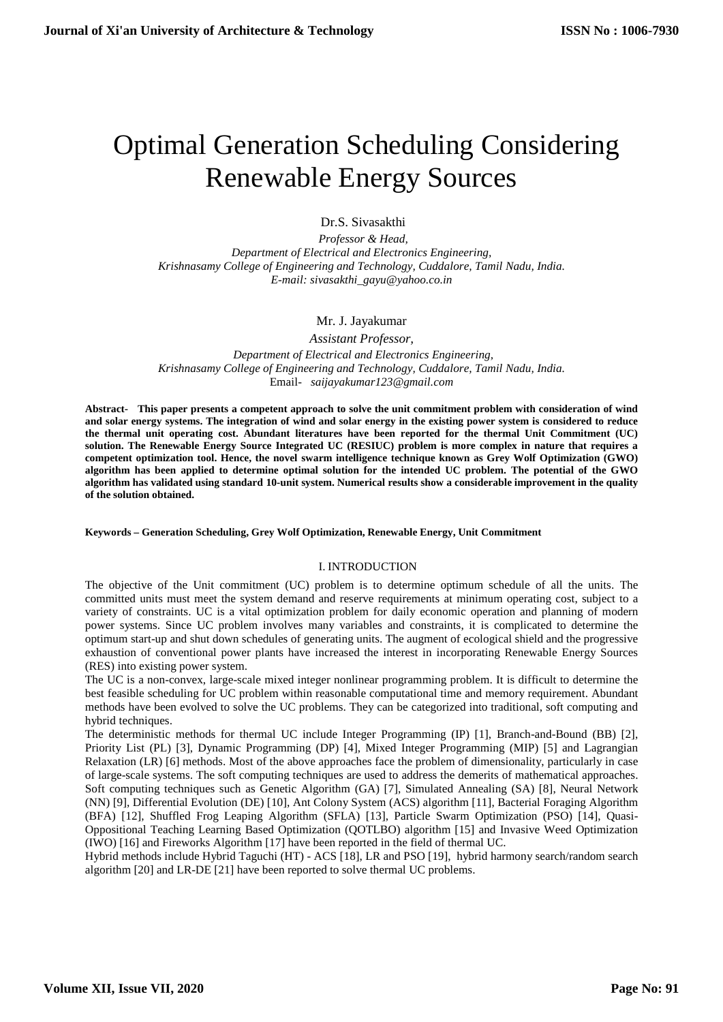# Optimal Generation Scheduling Considering Renewable Energy Sources

Dr.S. Sivasakthi

*Professor & Head, Department of Electrical and Electronics Engineering, Krishnasamy College of Engineering and Technology, Cuddalore, Tamil Nadu, India. E-mail: sivasakthi\_gayu@yahoo.co.in*

# Mr. J. Jayakumar

*Assistant Professor, Department of Electrical and Electronics Engineering, Krishnasamy College of Engineering and Technology, Cuddalore, Tamil Nadu, India.* Email- *saijayakumar123@gmail.com*

**Abstract- This paper presents a competent approach to solve the unit commitment problem with consideration of wind and solar energy systems. The integration of wind and solar energy in the existing power system is considered to reduce the thermal unit operating cost. Abundant literatures have been reported for the thermal Unit Commitment (UC) solution. The Renewable Energy Source Integrated UC (RESIUC) problem is more complex in nature that requires a competent optimization tool. Hence, the novel swarm intelligence technique known as Grey Wolf Optimization (GWO) algorithm has been applied to determine optimal solution for the intended UC problem. The potential of the GWO algorithm has validated using standard 10-unit system. Numerical results show a considerable improvement in the quality of the solution obtained.**

## **Keywords – Generation Scheduling, Grey Wolf Optimization, Renewable Energy, Unit Commitment**

## I. INTRODUCTION

The objective of the Unit commitment (UC) problem is to determine optimum schedule of all the units. The committed units must meet the system demand and reserve requirements at minimum operating cost, subject to a variety of constraints. UC is a vital optimization problem for daily economic operation and planning of modern power systems. Since UC problem involves many variables and constraints, it is complicated to determine the optimum start-up and shut down schedules of generating units. The augment of ecological shield and the progressive exhaustion of conventional power plants have increased the interest in incorporating Renewable Energy Sources (RES) into existing power system.

The UC is a non-convex, large-scale mixed integer nonlinear programming problem. It is difficult to determine the best feasible scheduling for UC problem within reasonable computational time and memory requirement. Abundant methods have been evolved to solve the UC problems. They can be categorized into traditional, soft computing and hybrid techniques.

The deterministic methods for thermal UC include Integer Programming (IP) [1], Branch-and-Bound (BB) [2], Priority List (PL) [3], Dynamic Programming (DP) [4], Mixed Integer Programming (MIP) [5] and Lagrangian Relaxation (LR) [6] methods. Most of the above approaches face the problem of dimensionality, particularly in case of large-scale systems. The soft computing techniques are used to address the demerits of mathematical approaches. Soft computing techniques such as Genetic Algorithm (GA) [7], Simulated Annealing (SA) [8], Neural Network (NN) [9], Differential Evolution (DE) [10], Ant Colony System (ACS) algorithm [11], Bacterial Foraging Algorithm (BFA) [12], Shuffled Frog Leaping Algorithm (SFLA) [13], Particle Swarm Optimization (PSO) [14], Quasi- Oppositional Teaching Learning Based Optimization (QOTLBO) algorithm [15] and Invasive Weed Optimization (IWO) [16] and Fireworks Algorithm [17] have been reported in the field of thermal UC.

Hybrid methods include Hybrid Taguchi (HT) - ACS [18], LR and PSO [19], hybrid harmony search/random search algorithm [20] and LR-DE [21] have been reported to solve thermal UC problems.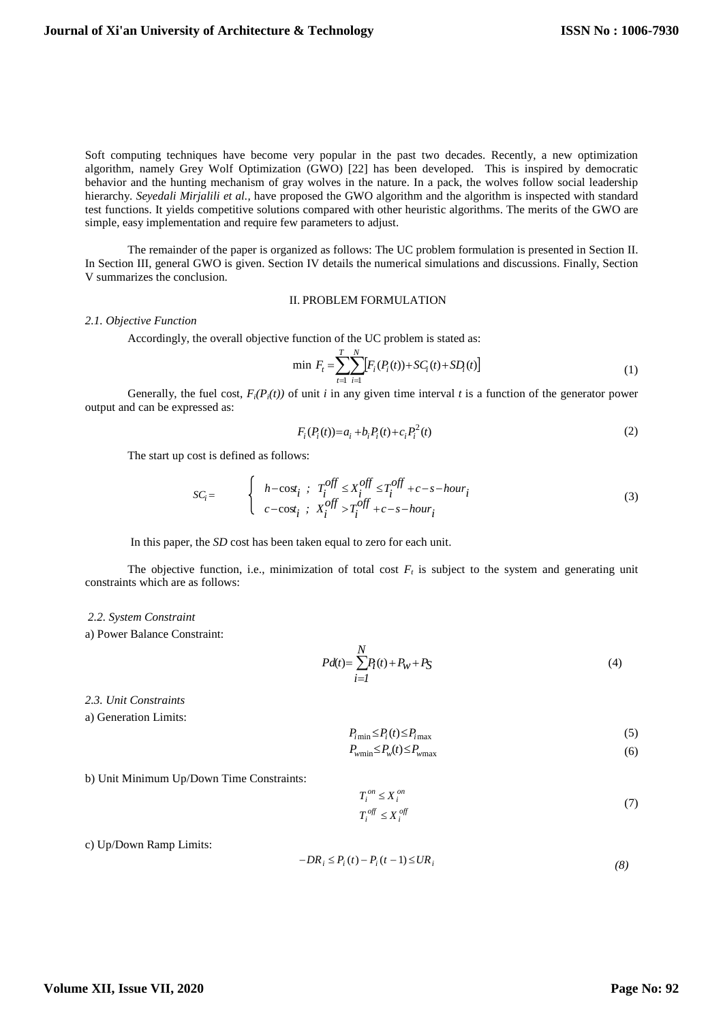Soft computing techniques have become very popular in the past two decades. Recently, a new optimization algorithm, namely Grey Wolf Optimization (GWO) [22] has been developed. This is inspired by democratic behavior and the hunting mechanism of gray wolves in the nature. In a pack, the wolves follow social leadership hierarchy. *Seyedali Mirjalili et al.,* have proposed the GWO algorithm and the algorithm is inspected with standard test functions. It yields competitive solutions compared with other heuristic algorithms. The merits of the GWO are simple, easy implementation and require few parameters to adjust.

The remainder of the paper is organized as follows: The UC problem formulation is presented in Section II. In Section III, general GWO is given. Section IV details the numerical simulations and discussions. Finally, Section V summarizes the conclusion.

## II. PROBLEM FORMULATION

#### *2.1. Objective Function*

Accordingly, the overall objective function of the UC problem is stated as:

$$
\min \ F_t = \sum_{t=1}^T \sum_{i=1}^N \left[ F_i(P_i(t)) + SC_i(t) + SD_i(t) \right] \tag{1}
$$

Generally, the fuel cost,  $F_i(P_i(t))$  of unit *i* in any given time interval *t* is a function of the generator power output and can be expressed as:

$$
F_i(P_i(t)) = a_i + b_i P_i(t) + c_i P_i^2(t)
$$
\n(2)

The start up cost is defined as follows:

$$
SC_i = \begin{cases} h - \cos t_i &; T_i^{off} \le X_i^{off} \le T_i^{off} + c - s - hour_i \\ c - \cos t_i &; X_i^{off} > T_i^{off} + c - s - hour_i \end{cases} \tag{3}
$$

In this paper, the *SD* cost has been taken equal to zero for each unit.

The objective function, i.e., minimization of total cost  $F<sub>t</sub>$  is subject to the system and generating unit constraints which are as follows:

## *2.2. System Constraint*

a) Power Balance Constraint:

$$
Pd(t) = \sum_{i=1}^{N} P_i(t) + P_W + P_S
$$
\n(4)

*2.3. Unit Constraints*

a) Generation Limits:

$$
P_{i\min} \le P_i(t) \le P_{i\max} \tag{5}
$$

$$
P_{\text{wmin}} \le P_{\text{w}}(t) \le P_{\text{wmax}} \tag{6}
$$

b) Unit Minimum Up/Down Time Constraints:

$$
T_i^{on} \le X_i^{on}
$$
  
\n
$$
T_i^{off} \le X_i^{off}
$$
\n(7)

c) Up/Down Ramp Limits:

$$
-DR_i \le P_i(t) - P_i(t-1) \le UR_i
$$
\n<sup>(8)</sup>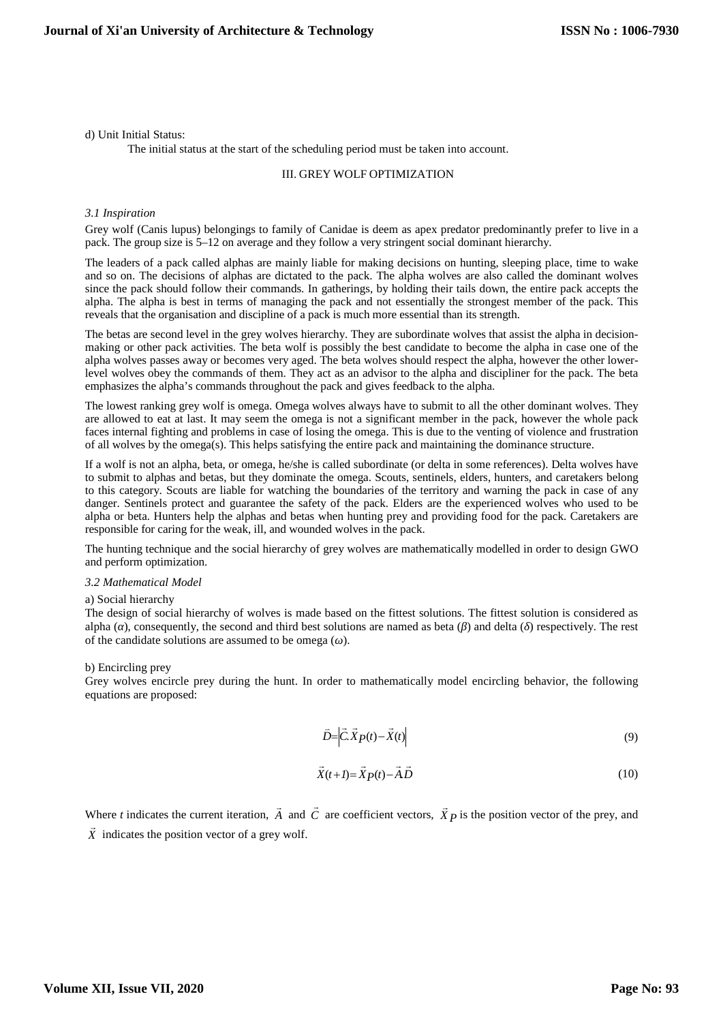#### d) Unit Initial Status:

The initial status at the start of the scheduling period must be taken into account.

#### III. GREY WOLF OPTIMIZATION

## *3.1 Inspiration*

Grey wolf (Canis lupus) belongings to family of Canidae is deem as apex predator predominantly prefer to live in a pack. The group size is 5–12 on average and they follow a very stringent social dominant hierarchy.

The leaders of a pack called alphas are mainly liable for making decisions on hunting, sleeping place, time to wake and so on. The decisions of alphas are dictated to the pack. The alpha wolves are also called the dominant wolves since the pack should follow their commands. In gatherings, by holding their tails down, the entire pack accepts the alpha. The alpha is best in terms of managing the pack and not essentially the strongest member of the pack. This reveals that the organisation and discipline of a pack is much more essential than its strength.

The betas are second level in the grey wolves hierarchy. They are subordinate wolves that assist the alpha in decision making or other pack activities. The beta wolf is possibly the best candidate to become the alpha in case one of the alpha wolves passes away or becomes very aged. The beta wolves should respect the alpha, however the other lowerlevel wolves obey the commands of them. They act as an advisor to the alpha and discipliner for the pack. The beta emphasizes the alpha's commands throughout the pack and gives feedback to the alpha.

The lowest ranking grey wolf is omega. Omega wolves always have to submit to all the other dominant wolves. They are allowed to eat at last. It may seem the omega is not a significant member in the pack, however the whole pack faces internal fighting and problems in case of losing the omega. This is due to the venting of violence and frustration of all wolves by the omega(s). This helps satisfying the entire pack and maintaining the dominance structure.

If a wolf is not an alpha, beta, or omega, he/she is called subordinate (or delta in some references). Delta wolves have to submit to alphas and betas, but they dominate the omega. Scouts, sentinels, elders, hunters, and caretakers belong to this category. Scouts are liable for watching the boundaries of the territory and warning the pack in case of any danger. Sentinels protect and guarantee the safety of the pack. Elders are the experienced wolves who used to be alpha or beta. Hunters help the alphas and betas when hunting prey and providing food for the pack. Caretakers are responsible for caring for the weak, ill, and wounded wolves in the pack.

The hunting technique and the social hierarchy of grey wolves are mathematically modelled in order to design GWO and perform optimization.

#### *3.2 Mathematical Model*

#### a) Social hierarchy

The design of social hierarchy of wolves is made based on the fittest solutions. The fittest solution is considered as alpha ( ), consequently, the second and third best solutions are named as beta ( ) and delta ( ) respectively. The rest of the candidate solutions are assumed to be omega ( ).

#### b) Encircling prey

Grey wolves encircle prey during the hunt. In order to mathematically model encircling behavior, the following equations are proposed:

$$
\vec{D} = \vec{C} \cdot \vec{X} P(t) - \vec{X}(t) \tag{9}
$$

$$
\vec{X}(t+I) = \vec{X}P(t) - \vec{A}\vec{D}
$$
\n(10)

Where *t* indicates the current iteration,  $\vec{A}$  and  $\vec{C}$  are coefficient vectors,  $\vec{X}$  *p* is the position vector of the prey, and  $\vec{X}$  indicates the position vector of a grey wolf.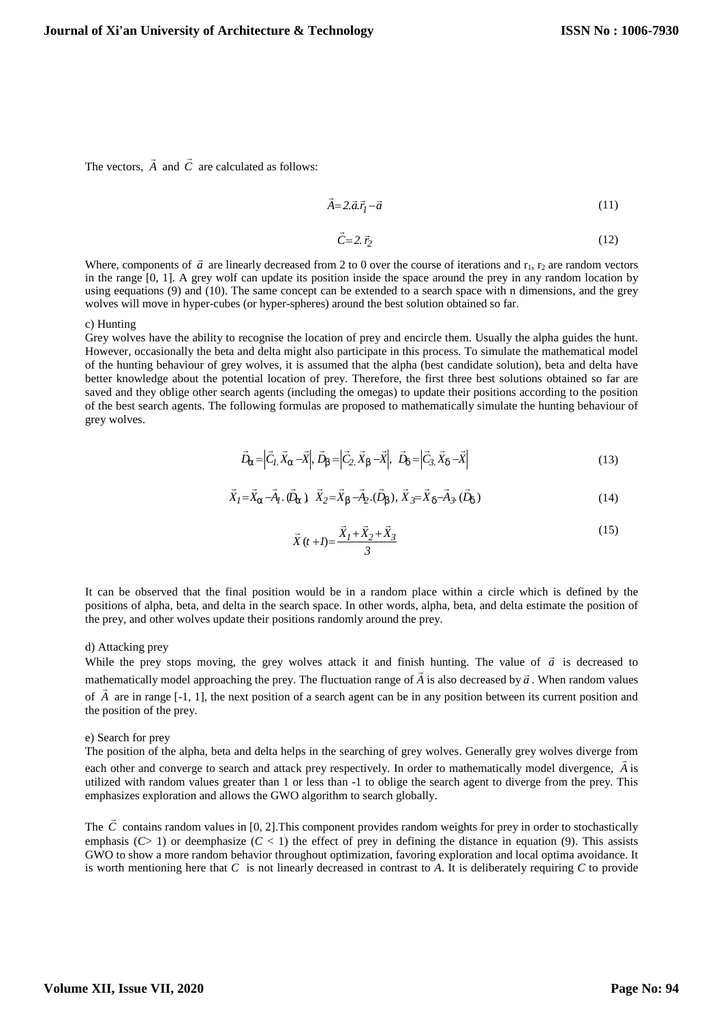The vectors,  $\vec{A}$  and  $\vec{C}$  are calculated as follows:  $\vec{C}$  are calculated as follows:

$$
\vec{A} = 2 \cdot \vec{a} \cdot \vec{r}_1 - \vec{a} \tag{11}
$$

$$
\vec{C} = 2.\vec{r}_2 \tag{12}
$$

Where, components of  $\vec{a}$  are linearly decreased from 2 to 0 over the course of iterations and  $r_1$ ,  $r_2$  are random vectors in the range [0, 1]. A grey wolf can update its position inside the space around the prey in any random location by using eequations (9) and (10). The same concept can be extended to a search space with n dimensions, and the grey wolves will move in hyper-cubes (or hyper-spheres) around the best solution obtained so far.

#### c) Hunting

Grey wolves have the ability to recognise the location of prey and encircle them. Usually the alpha guides the hunt. However, occasionally the beta and delta might also participate in this process. To simulate the mathematical model of the hunting behaviour of grey wolves, it is assumed that the alpha (best candidate solution), beta and delta have better knowledge about the potential location of prey. Therefore, the first three best solutions obtained so far are saved and they oblige other search agents (including the omegas) to update their positions according to the position of the best search agents. The following formulas are proposed to mathematically simulate the hunting behaviour of grey wolves.

$$
\vec{D}_{\Gamma} = \left| \vec{C}_1 \cdot \vec{X}_{\Gamma} - \vec{X} \right|, \vec{D}_{\mathsf{S}} = \left| \vec{C}_2 \cdot \vec{X}_{\mathsf{S}} - \vec{X} \right|, \quad \vec{D}_{\mathsf{U}} = \left| \vec{C}_3 \cdot \vec{X}_{\mathsf{U}} - \vec{X} \right| \tag{13}
$$

$$
\vec{X}_I = \vec{X}_\Gamma - \vec{A}_I \cdot (\vec{D}_\Gamma) \ \vec{X}_2 = \vec{X}_S - \vec{A}_2 \cdot (\vec{D}_S), \ \vec{X}_3 = \vec{X}_U - \vec{A}_3 \cdot (\vec{D}_U) \tag{14}
$$

$$
\vec{X}(t+l) = \frac{\vec{X}_1 + \vec{X}_2 + \vec{X}_3}{3}
$$
\n(15)

It can be observed that the final position would be in a random place within a circle which is defined by the positions of alpha, beta, and delta in the search space. In other words, alpha, beta, and delta estimate the position of the prey, and other wolves update their positions randomly around the prey.

## d) Attacking prey

While the prey stops moving, the grey wolves attack it and finish hunting. The value of  $\vec{a}$  is decreased to mathematically model approaching the prey. The fluctuation range of  $\vec{A}$  is also decreased by  $\vec{a}$ . When random values of  $\vec{A}$  are in range  $[-1, 1]$ , the next position of a search agent can be in any position between its current position and the position of the prey.

#### e) Search for prey

The position of the alpha, beta and delta helps in the searching of grey wolves. Generally grey wolves diverge from each other and converge to search and attack prey respectively. In order to mathematically model divergence, *A* is  $\frac{1}{2}$ . utilized with random values greater than 1 or less than -1 to oblige the search agent to diverge from the prey. This emphasizes exploration and allows the GWO algorithm to search globally.

The  $\vec{C}$  contains random values in [0, 2]. This component provides random weights for prey in order to stochastically emphasis  $(C> 1)$  or deemphasize  $(C< 1)$  the effect of prey in defining the distance in equation (9). This assists GWO to show a more random behavior throughout optimization, favoring exploration and local optima avoidance. It is worth mentioning here that  $C$  is not linearly decreased in contrast to  $\overline{A}$ . It is deliberately requiring  $C$  to provide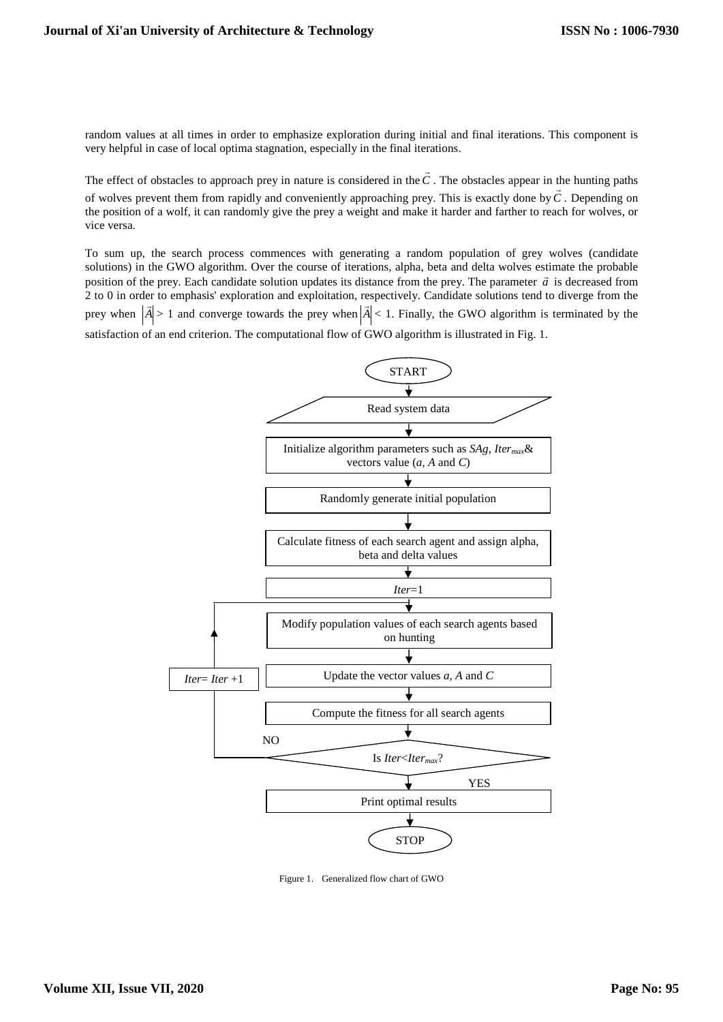random values at all times in order to emphasize exploration during initial and final iterations. This component is very helpful in case of local optima stagnation, especially in the final iterations.

The effect of obstacles to approach prey in nature is considered in the  $\vec{C}$ . The obstacles appear in the hunting paths of wolves prevent them from rapidly and conveniently approaching prey. This is exactly done by*C .* Depending on the position of a wolf, it can randomly give the prey a weight and make it harder and farther to reach for wolves, or vice versa.

To sum up, the search process commences with generating a random population of grey wolves (candidate solutions) in the GWO algorithm. Over the course of iterations, alpha, beta and delta wolves estimate the probable position of the prey. Each candidate solution updates its distance from the prey. The parameter  $\vec{a}$  is decreased from 2 to 0 in order to emphasis' exploration and exploitation, respectively. Candidate solutions tend to diverge from the prey when  $|\vec{A}| > 1$  and converge towards the prey when  $|\vec{A}| < 1$ . Finally, the GWO algorithm is terminated by the satisfaction of an end criterion. The computational flow of GWO algorithm is illustrated in Fig. 1.



Figure 1. Generalized flow chart of GWO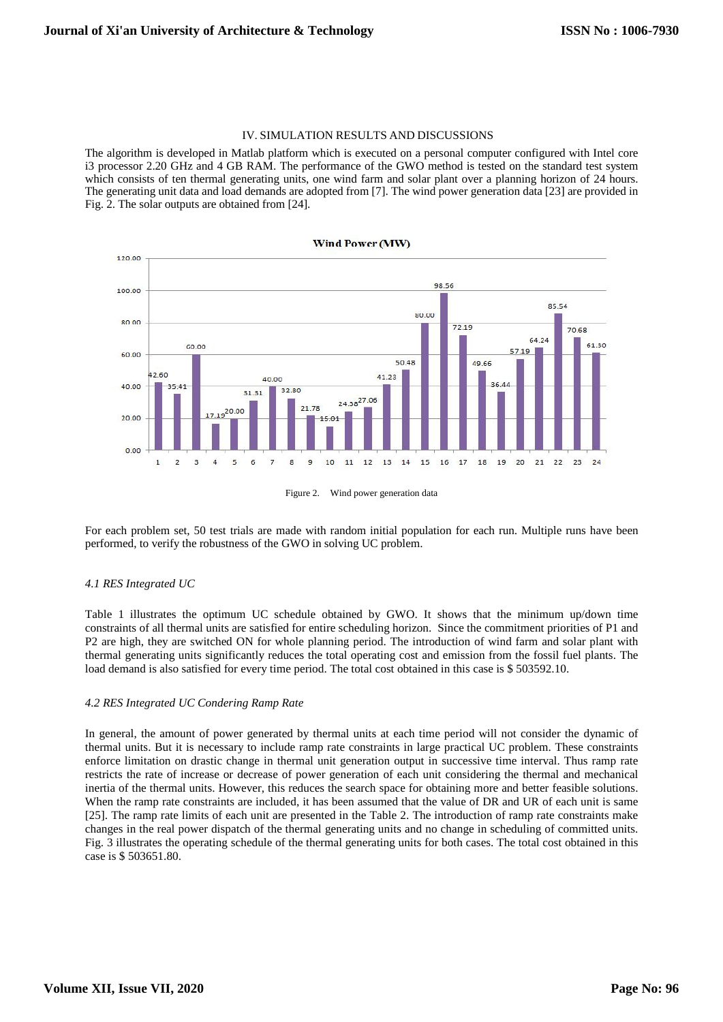### IV. SIMULATION RESULTS AND DISCUSSIONS

The algorithm is developed in Matlab platform which is executed on a personal computer configured with Intel core i3 processor 2.20 GHz and 4 GB RAM. The performance of the GWO method is tested on the standard test system which consists of ten thermal generating units, one wind farm and solar plant over a planning horizon of 24 hours. The generating unit data and load demands are adopted from [7]. The wind power generation data [23] are provided in Fig. 2. The solar outputs are obtained from [24].





For each problem set, 50 test trials are made with random initial population for each run. Multiple runs have been performed, to verify the robustness of the GWO in solving UC problem.

## *4.1 RES Integrated UC*

Table 1 illustrates the optimum UC schedule obtained by GWO. It shows that the minimum up/down time constraints of all thermal units are satisfied for entire scheduling horizon. Since the commitment priorities of P1 and P2 are high, they are switched ON for whole planning period. The introduction of wind farm and solar plant with thermal generating units significantly reduces the total operating cost and emission from the fossil fuel plants. The load demand is also satisfied for every time period. The total cost obtained in this case is \$ 503592.10.

# *4.2 RES Integrated UC Condering Ramp Rate*

In general, the amount of power generated by thermal units at each time period will not consider the dynamic of thermal units. But it is necessary to include ramp rate constraints in large practical UC problem. These constraints enforce limitation on drastic change in thermal unit generation output in successive time interval. Thus ramp rate restricts the rate of increase or decrease of power generation of each unit considering the thermal and mechanical inertia of the thermal units. However, this reduces the search space for obtaining more and better feasible solutions. When the ramp rate constraints are included, it has been assumed that the value of DR and UR of each unit is same [25]. The ramp rate limits of each unit are presented in the Table 2. The introduction of ramp rate constraints make changes in the real power dispatch of the thermal generating units and no change in scheduling of committed units. Fig. 3 illustrates the operating schedule of the thermal generating units for both cases. The total cost obtained in this case is \$ 503651.80.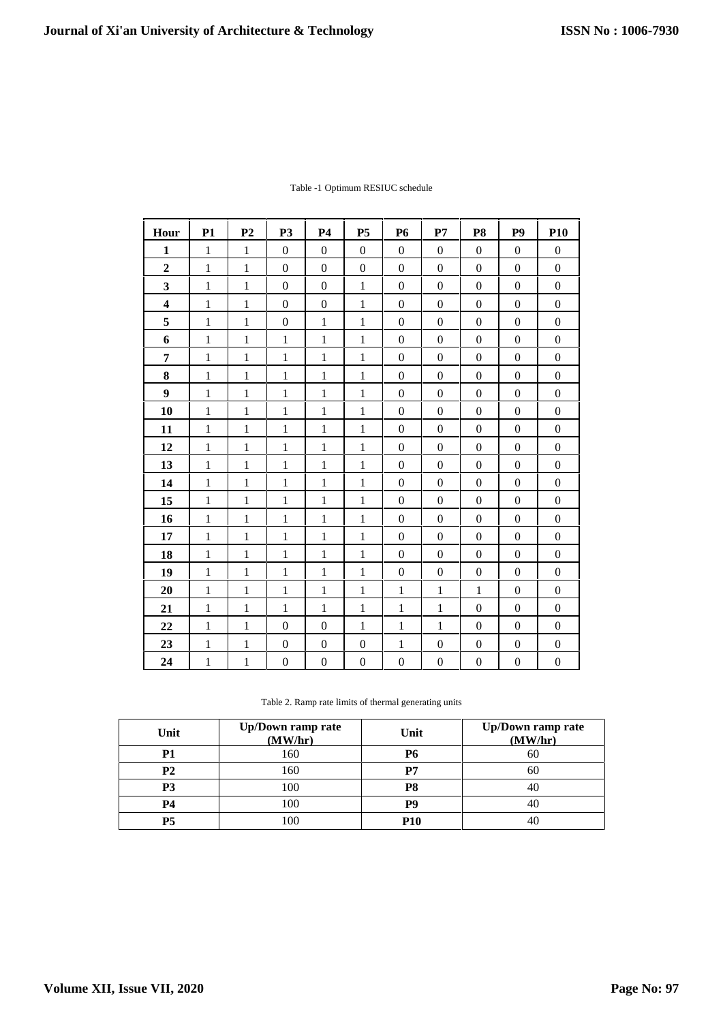| Hour                    | <b>P1</b>    | P <sub>2</sub> | P <sub>3</sub>   | <b>P4</b>        | <b>P5</b>        | <b>P6</b>        | P7               | P <sub>8</sub>   | P <sub>9</sub>   | <b>P10</b>       |
|-------------------------|--------------|----------------|------------------|------------------|------------------|------------------|------------------|------------------|------------------|------------------|
| $\mathbf{1}$            | $\mathbf{1}$ | $\mathbf{1}$   | $\Omega$         | $\mathbf{0}$     | $\mathbf{0}$     | $\mathbf{0}$     | $\mathbf{0}$     | $\mathbf{0}$     | $\mathbf{0}$     | $\overline{0}$   |
| $\overline{2}$          | $\mathbf{1}$ | $\mathbf{1}$   | $\overline{0}$   | $\mathbf{0}$     | $\mathbf{0}$     | $\overline{0}$   | $\overline{0}$   | $\mathbf{0}$     | $\overline{0}$   | $\overline{0}$   |
| $\overline{\mathbf{3}}$ | $\mathbf{1}$ | $\mathbf{1}$   | $\mathbf{0}$     | $\mathbf{0}$     | $\mathbf{1}$     | $\mathbf{0}$     | $\mathbf{0}$     | $\mathbf{0}$     | $\boldsymbol{0}$ | $\overline{0}$   |
| $\overline{\mathbf{4}}$ | $\mathbf{1}$ | $\mathbf{1}$   | $\mathbf{0}$     | $\mathbf{0}$     | $\mathbf{1}$     | $\mathbf{0}$     | $\mathbf{0}$     | $\mathbf{0}$     | $\overline{0}$   | $\overline{0}$   |
| 5                       | $\mathbf{1}$ | $\mathbf{1}$   | $\Omega$         | $\mathbf{1}$     | $\mathbf{1}$     | $\Omega$         | $\overline{0}$   | $\Omega$         | $\boldsymbol{0}$ | $\Omega$         |
| 6                       | $\mathbf{1}$ | $\mathbf{1}$   | $\mathbf{1}$     | $\mathbf{1}$     | $\mathbf{1}$     | $\overline{0}$   | $\overline{0}$   | $\overline{0}$   | $\overline{0}$   | $\overline{0}$   |
| $\overline{7}$          | $\mathbf{1}$ | $\mathbf{1}$   | $\mathbf{1}$     | $\mathbf{1}$     | $\mathbf{1}$     | $\mathbf{0}$     | $\mathbf{0}$     | $\mathbf{0}$     | $\boldsymbol{0}$ | $\overline{0}$   |
| 8                       | $\mathbf{1}$ | $\mathbf{1}$   | $\mathbf{1}$     | $\mathbf{1}$     | $\mathbf{1}$     | $\overline{0}$   | $\overline{0}$   | $\mathbf{0}$     | $\overline{0}$   | $\overline{0}$   |
| $\boldsymbol{9}$        | $\mathbf{1}$ | $\mathbf{1}$   | $\mathbf{1}$     | $\mathbf{1}$     | $\mathbf{1}$     | $\mathbf{0}$     | $\mathbf{0}$     | $\mathbf{0}$     | $\mathbf{0}$     | $\overline{0}$   |
| 10                      | $\mathbf{1}$ | $\mathbf{1}$   | $\mathbf{1}$     | $\mathbf{1}$     | $\mathbf{1}$     | $\mathbf{0}$     | $\mathbf{0}$     | $\mathbf{0}$     | $\mathbf{0}$     | $\overline{0}$   |
| 11                      | $\mathbf{1}$ | $\mathbf{1}$   | $\mathbf{1}$     | $\mathbf{1}$     | $\mathbf{1}$     | $\boldsymbol{0}$ | $\boldsymbol{0}$ | $\mathbf{0}$     | $\boldsymbol{0}$ | $\overline{0}$   |
| 12                      | $\mathbf{1}$ | $\mathbf{1}$   | $\mathbf{1}$     | $\mathbf{1}$     | $\mathbf{1}$     | $\overline{0}$   | $\overline{0}$   | $\mathbf{0}$     | $\mathbf{0}$     | $\overline{0}$   |
| 13                      | $\mathbf{1}$ | $\mathbf{1}$   | $\mathbf{1}$     | $\mathbf{1}$     | $\mathbf{1}$     | $\mathbf{0}$     | $\mathbf{0}$     | $\mathbf{0}$     | $\mathbf{0}$     | $\overline{0}$   |
| 14                      | $\mathbf{1}$ | $\mathbf{1}$   | $\mathbf{1}$     | $\mathbf{1}$     | $\mathbf{1}$     | $\mathbf{0}$     | $\mathbf{0}$     | $\mathbf{0}$     | $\mathbf{0}$     | $\overline{0}$   |
| 15                      | $\mathbf{1}$ | $\mathbf{1}$   | $\mathbf{1}$     | $\mathbf{1}$     | $\mathbf{1}$     | $\overline{0}$   | $\overline{0}$   | $\mathbf{0}$     | $\overline{0}$   | $\overline{0}$   |
| 16                      | $\mathbf{1}$ | $\mathbf{1}$   | $\mathbf{1}$     | $\mathbf{1}$     | $\mathbf{1}$     | $\mathbf{0}$     | $\mathbf{0}$     | $\mathbf{0}$     | $\mathbf{0}$     | $\overline{0}$   |
| 17                      | $\mathbf{1}$ | $\mathbf{1}$   | $\mathbf{1}$     | $\mathbf{1}$     | $\mathbf{1}$     | $\overline{0}$   | $\overline{0}$   | $\mathbf{0}$     | $\overline{0}$   | $\overline{0}$   |
| 18                      | $\mathbf{1}$ | $\mathbf{1}$   | $\mathbf{1}$     | $\mathbf{1}$     | $\mathbf{1}$     | $\mathbf{0}$     | $\mathbf{0}$     | $\boldsymbol{0}$ | $\boldsymbol{0}$ | $\overline{0}$   |
| 19                      | $\mathbf{1}$ | $\mathbf{1}$   | $\mathbf{1}$     | $\mathbf{1}$     | $\mathbf{1}$     | $\overline{0}$   | $\overline{0}$   | $\theta$         | $\overline{0}$   | $\overline{0}$   |
| 20                      | $\mathbf{1}$ | $\mathbf{1}$   | $\mathbf{1}$     | $\mathbf{1}$     | $\mathbf{1}$     | $\mathbf{1}$     | $\mathbf{1}$     | $\mathbf{1}$     | $\mathbf{0}$     | $\overline{0}$   |
| 21                      | $\mathbf{1}$ | $\mathbf{1}$   | $\mathbf{1}$     | $\mathbf{1}$     | $\mathbf{1}$     | $\mathbf{1}$     | $\mathbf{1}$     | $\theta$         | $\overline{0}$   | $\overline{0}$   |
| 22                      | $\mathbf{1}$ | $\mathbf{1}$   | $\overline{0}$   | $\mathbf{0}$     | $\mathbf{1}$     | $\mathbf{1}$     | $\mathbf{1}$     | $\mathbf{0}$     | $\mathbf{0}$     | $\overline{0}$   |
| 23                      | $\mathbf{1}$ | $\mathbf 1$    | $\mathbf{0}$     | $\mathbf{0}$     | $\mathbf{0}$     | $\mathbf{1}$     | $\mathbf{0}$     | $\mathbf{0}$     | $\boldsymbol{0}$ | $\overline{0}$   |
| 24                      | $\,1\,$      | $\mathbf{1}$   | $\boldsymbol{0}$ | $\boldsymbol{0}$ | $\boldsymbol{0}$ | $\boldsymbol{0}$ | $\boldsymbol{0}$ | $\boldsymbol{0}$ | $\boldsymbol{0}$ | $\boldsymbol{0}$ |

Table -1 Optimum RESIUC schedule

| Table 2. Ramp rate limits of thermal generating units |  |
|-------------------------------------------------------|--|
|-------------------------------------------------------|--|

| Unit           | <b>Up/Down ramp rate</b><br>(MW/hr) | Unit       | <b>Up/Down ramp rate</b><br>(MW/hr) |
|----------------|-------------------------------------|------------|-------------------------------------|
| P <sub>1</sub> | 160                                 | Р6         | 60                                  |
| <b>P2</b>      | 160                                 | P7         | 60                                  |
| P3             | 100                                 | P8         |                                     |
| P4             | 100                                 | P9         |                                     |
| P5             | 00                                  | <b>P10</b> |                                     |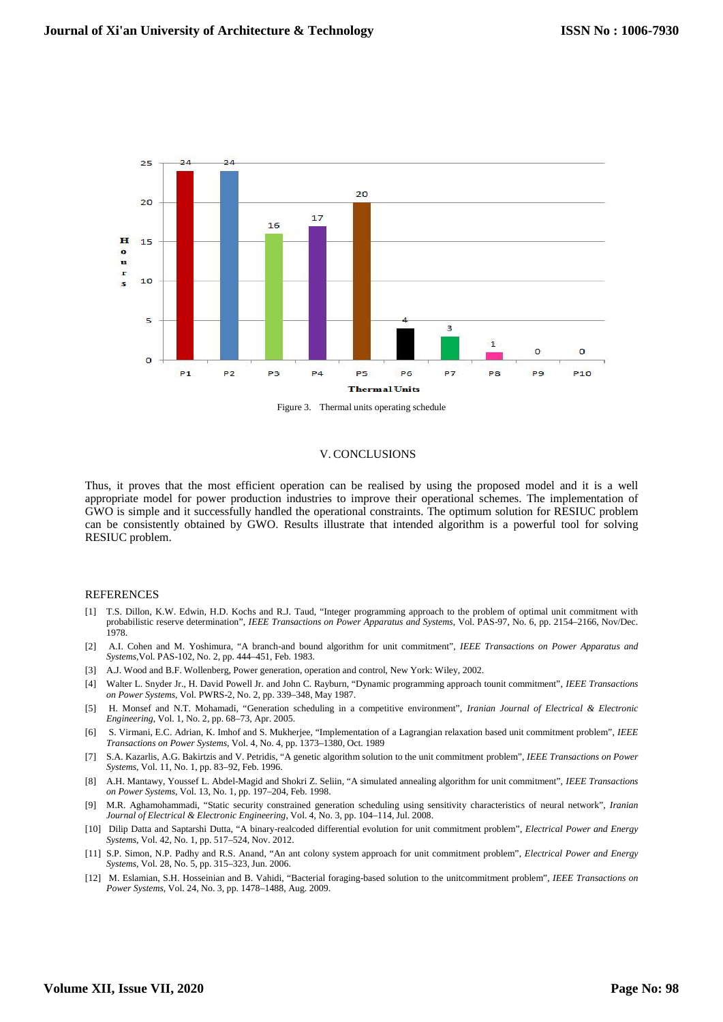

Figure 3. Thermal units operating schedule

#### V. CONCLUSIONS

Thus, it proves that the most efficient operation can be realised by using the proposed model and it is a well appropriate model for power production industries to improve their operational schemes. The implementation of GWO is simple and it successfully handled the operational constraints. The optimum solution for RESIUC problem can be consistently obtained by GWO. Results illustrate that intended algorithm is a powerful tool for solving RESIUC problem.

## **REFERENCES**

- [1] T.S. Dillon, K.W. Edwin, H.D. Kochs and R.J. Taud, "Integer programming approach to the problem of optimal unit commitment with probabilistic reserve determination", *IEEE Transactions on Power Apparatus and Systems*, Vol. PAS-97, No. 6, pp. 2154–2166, Nov/Dec. 1978.
- [2] A.I. Cohen and M. Yoshimura, "A branch-and bound algorithm for unit commitment", *IEEE Transactions on Power Apparatus and Systems*,Vol. PAS-102, No. 2, pp. 444–451, Feb. 1983.
- [3] A.J. Wood and B.F. Wollenberg, Power generation, operation and control, New York: Wiley, 2002.
- [4] Walter L. Snyder Jr., H. David Powell Jr. and John C. Rayburn, "Dynamic programming approach tounit commitment", *IEEE Transactions on Power Systems*, Vol. PWRS-2, No. 2, pp. 339–348, May 1987.
- [5] H. Monsef and N.T. Mohamadi, "Generation scheduling in a competitive environment", *Iranian Journal of Electrical & Electronic Engineering*, Vol. 1, No. 2, pp. 68–73, Apr. 2005.
- [6] S. Virmani, E.C. Adrian, K. Imhof and S. Mukherjee, "Implementation of a Lagrangian relaxation based unit commitment problem", *IEEE Transactions on Power Systems*, Vol. 4, No. 4, pp. 1373–1380, Oct. 1989
- [7] S.A. Kazarlis, A.G. Bakirtzis and V. Petridis, "A genetic algorithm solution to the unit commitment problem", *IEEE Transactions on Power Systems*, Vol. 11, No. 1, pp. 83–92, Feb. 1996.
- [8] A.H. Mantawy, Youssef L. Abdel-Magid and Shokri Z. Seliin, "A simulated annealing algorithm for unit commitment", *IEEE Transactions on Power Systems*, Vol. 13, No. 1, pp. 197–204, Feb. 1998.
- [9] M.R. Aghamohammadi, "Static security constrained generation scheduling using sensitivity characteristics of neural network", *Iranian Journal of Electrical & Electronic Engineering*, Vol. 4, No. 3, pp. 104–114, Jul. 2008.
- [10] Dilip Datta and Saptarshi Dutta, "A binary-realcoded differential evolution for unit commitment problem", *Electrical Power and Energy Systems*, Vol. 42, No. 1, pp. 517–524, Nov. 2012.
- [11] S.P. Simon, N.P. Padhy and R.S. Anand, "An ant colony system approach for unit commitment problem", *Electrical Power and Energy Systems*, Vol. 28, No. 5, pp. 315–323, Jun. 2006.
- [12] M. Eslamian, S.H. Hosseinian and B. Vahidi, "Bacterial foraging-based solution to the unitcommitment problem", *IEEE Transactions on Power Systems*, Vol. 24, No. 3, pp. 1478–1488, Aug. 2009.